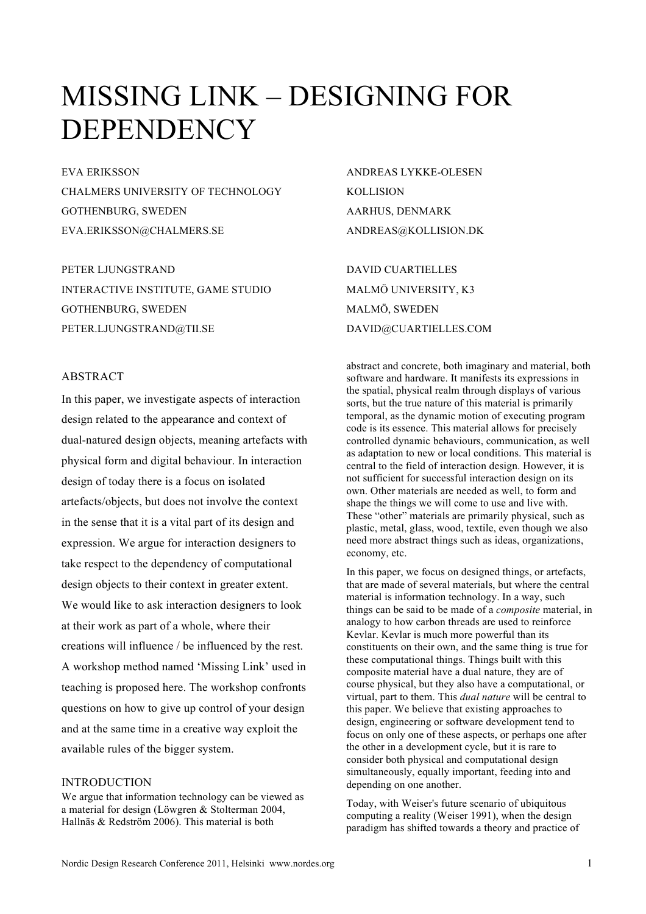# MISSING LINK – DESIGNING FOR DEPENDENCY

EVA ERIKSSON CHALMERS UNIVERSITY OF TECHNOLOGY GOTHENBURG, SWEDEN EVA.ERIKSSON@CHALMERS.SE

PETER LJUNGSTRAND INTERACTIVE INSTITUTE, GAME STUDIO GOTHENBURG, SWEDEN PETER.LJUNGSTRAND@TII.SE

# **ABSTRACT**

In this paper, we investigate aspects of interaction design related to the appearance and context of dual-natured design objects, meaning artefacts with physical form and digital behaviour. In interaction design of today there is a focus on isolated artefacts/objects, but does not involve the context in the sense that it is a vital part of its design and expression. We argue for interaction designers to take respect to the dependency of computational design objects to their context in greater extent. We would like to ask interaction designers to look at their work as part of a whole, where their creations will influence / be influenced by the rest. A workshop method named 'Missing Link' used in teaching is proposed here. The workshop confronts questions on how to give up control of your design and at the same time in a creative way exploit the available rules of the bigger system.

## INTRODUCTION

We argue that information technology can be viewed as a material for design (Löwgren & Stolterman 2004, Hallnäs & Redström 2006). This material is both

ANDREAS LYKKE-OLESEN KOLLISION AARHUS, DENMARK ANDREAS@KOLLISION.DK

DAVID CUARTIELLES MALMÖ UNIVERSITY, K3 MALMÖ, SWEDEN DAVID@CUARTIELLES.COM

abstract and concrete, both imaginary and material, both software and hardware. It manifests its expressions in the spatial, physical realm through displays of various sorts, but the true nature of this material is primarily temporal, as the dynamic motion of executing program code is its essence. This material allows for precisely controlled dynamic behaviours, communication, as well as adaptation to new or local conditions. This material is central to the field of interaction design. However, it is not sufficient for successful interaction design on its own. Other materials are needed as well, to form and shape the things we will come to use and live with. These "other" materials are primarily physical, such as plastic, metal, glass, wood, textile, even though we also need more abstract things such as ideas, organizations, economy, etc.

In this paper, we focus on designed things, or artefacts, that are made of several materials, but where the central material is information technology. In a way, such things can be said to be made of a *composite* material, in analogy to how carbon threads are used to reinforce Kevlar. Kevlar is much more powerful than its constituents on their own, and the same thing is true for these computational things. Things built with this composite material have a dual nature, they are of course physical, but they also have a computational, or virtual, part to them. This *dual nature* will be central to this paper. We believe that existing approaches to design, engineering or software development tend to focus on only one of these aspects, or perhaps one after the other in a development cycle, but it is rare to consider both physical and computational design simultaneously, equally important, feeding into and depending on one another.

Today, with Weiser's future scenario of ubiquitous computing a reality (Weiser 1991), when the design paradigm has shifted towards a theory and practice of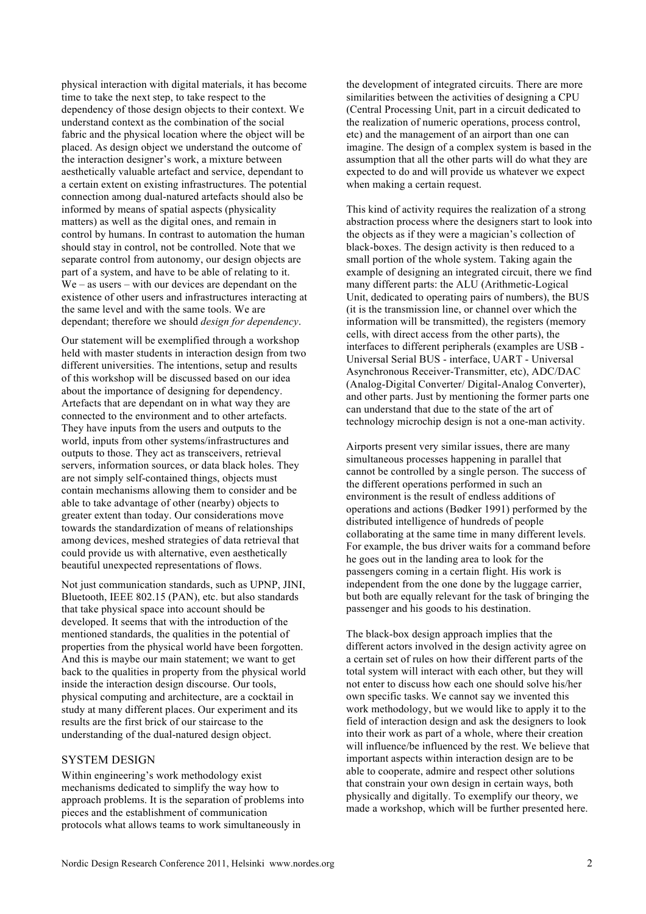physical interaction with digital materials, it has become time to take the next step, to take respect to the dependency of those design objects to their context. We understand context as the combination of the social fabric and the physical location where the object will be placed. As design object we understand the outcome of the interaction designer's work, a mixture between aesthetically valuable artefact and service, dependant to a certain extent on existing infrastructures. The potential connection among dual-natured artefacts should also be informed by means of spatial aspects (physicality matters) as well as the digital ones, and remain in control by humans. In contrast to automation the human should stay in control, not be controlled. Note that we separate control from autonomy, our design objects are part of a system, and have to be able of relating to it. We – as users – with our devices are dependant on the existence of other users and infrastructures interacting at the same level and with the same tools. We are dependant; therefore we should *design for dependency*.

Our statement will be exemplified through a workshop held with master students in interaction design from two different universities. The intentions, setup and results of this workshop will be discussed based on our idea about the importance of designing for dependency. Artefacts that are dependant on in what way they are connected to the environment and to other artefacts. They have inputs from the users and outputs to the world, inputs from other systems/infrastructures and outputs to those. They act as transceivers, retrieval servers, information sources, or data black holes. They are not simply self-contained things, objects must contain mechanisms allowing them to consider and be able to take advantage of other (nearby) objects to greater extent than today. Our considerations move towards the standardization of means of relationships among devices, meshed strategies of data retrieval that could provide us with alternative, even aesthetically beautiful unexpected representations of flows.

Not just communication standards, such as UPNP, JINI, Bluetooth, IEEE 802.15 (PAN), etc. but also standards that take physical space into account should be developed. It seems that with the introduction of the mentioned standards, the qualities in the potential of properties from the physical world have been forgotten. And this is maybe our main statement; we want to get back to the qualities in property from the physical world inside the interaction design discourse. Our tools, physical computing and architecture, are a cocktail in study at many different places. Our experiment and its results are the first brick of our staircase to the understanding of the dual-natured design object.

# SYSTEM DESIGN

Within engineering's work methodology exist mechanisms dedicated to simplify the way how to approach problems. It is the separation of problems into pieces and the establishment of communication protocols what allows teams to work simultaneously in

the development of integrated circuits. There are more similarities between the activities of designing a CPU (Central Processing Unit, part in a circuit dedicated to the realization of numeric operations, process control, etc) and the management of an airport than one can imagine. The design of a complex system is based in the assumption that all the other parts will do what they are expected to do and will provide us whatever we expect when making a certain request.

This kind of activity requires the realization of a strong abstraction process where the designers start to look into the objects as if they were a magician's collection of black-boxes. The design activity is then reduced to a small portion of the whole system. Taking again the example of designing an integrated circuit, there we find many different parts: the ALU (Arithmetic-Logical Unit, dedicated to operating pairs of numbers), the BUS (it is the transmission line, or channel over which the information will be transmitted), the registers (memory cells, with direct access from the other parts), the interfaces to different peripherals (examples are USB - Universal Serial BUS - interface, UART - Universal Asynchronous Receiver-Transmitter, etc), ADC/DAC (Analog-Digital Converter/ Digital-Analog Converter), and other parts. Just by mentioning the former parts one can understand that due to the state of the art of technology microchip design is not a one-man activity.

Airports present very similar issues, there are many simultaneous processes happening in parallel that cannot be controlled by a single person. The success of the different operations performed in such an environment is the result of endless additions of operations and actions (Bødker 1991) performed by the distributed intelligence of hundreds of people collaborating at the same time in many different levels. For example, the bus driver waits for a command before he goes out in the landing area to look for the passengers coming in a certain flight. His work is independent from the one done by the luggage carrier, but both are equally relevant for the task of bringing the passenger and his goods to his destination.

The black-box design approach implies that the different actors involved in the design activity agree on a certain set of rules on how their different parts of the total system will interact with each other, but they will not enter to discuss how each one should solve his/her own specific tasks. We cannot say we invented this work methodology, but we would like to apply it to the field of interaction design and ask the designers to look into their work as part of a whole, where their creation will influence/be influenced by the rest. We believe that important aspects within interaction design are to be able to cooperate, admire and respect other solutions that constrain your own design in certain ways, both physically and digitally. To exemplify our theory, we made a workshop, which will be further presented here.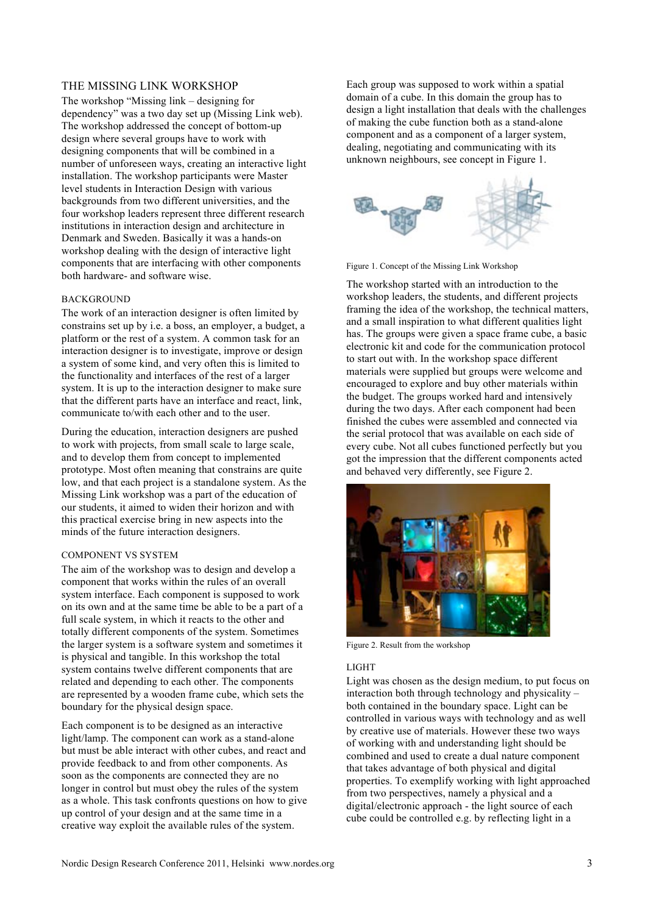# THE MISSING LINK WORKSHOP

The workshop "Missing link – designing for dependency" was a two day set up (Missing Link web). The workshop addressed the concept of bottom-up design where several groups have to work with designing components that will be combined in a number of unforeseen ways, creating an interactive light installation. The workshop participants were Master level students in Interaction Design with various backgrounds from two different universities, and the four workshop leaders represent three different research institutions in interaction design and architecture in Denmark and Sweden. Basically it was a hands-on workshop dealing with the design of interactive light components that are interfacing with other components both hardware- and software wise.

#### BACKGROUND

The work of an interaction designer is often limited by constrains set up by i.e. a boss, an employer, a budget, a platform or the rest of a system. A common task for an interaction designer is to investigate, improve or design a system of some kind, and very often this is limited to the functionality and interfaces of the rest of a larger system. It is up to the interaction designer to make sure that the different parts have an interface and react, link, communicate to/with each other and to the user.

During the education, interaction designers are pushed to work with projects, from small scale to large scale, and to develop them from concept to implemented prototype. Most often meaning that constrains are quite low, and that each project is a standalone system. As the Missing Link workshop was a part of the education of our students, it aimed to widen their horizon and with this practical exercise bring in new aspects into the minds of the future interaction designers.

### COMPONENT VS SYSTEM

The aim of the workshop was to design and develop a component that works within the rules of an overall system interface. Each component is supposed to work on its own and at the same time be able to be a part of a full scale system, in which it reacts to the other and totally different components of the system. Sometimes the larger system is a software system and sometimes it is physical and tangible. In this workshop the total system contains twelve different components that are related and depending to each other. The components are represented by a wooden frame cube, which sets the boundary for the physical design space.

Each component is to be designed as an interactive light/lamp. The component can work as a stand-alone but must be able interact with other cubes, and react and provide feedback to and from other components. As soon as the components are connected they are no longer in control but must obey the rules of the system as a whole. This task confronts questions on how to give up control of your design and at the same time in a creative way exploit the available rules of the system.

Each group was supposed to work within a spatial domain of a cube. In this domain the group has to design a light installation that deals with the challenges of making the cube function both as a stand-alone component and as a component of a larger system, dealing, negotiating and communicating with its unknown neighbours, see concept in Figure 1.



Figure 1. Concept of the Missing Link Workshop

The workshop started with an introduction to the workshop leaders, the students, and different projects framing the idea of the workshop, the technical matters, and a small inspiration to what different qualities light has. The groups were given a space frame cube, a basic electronic kit and code for the communication protocol to start out with. In the workshop space different materials were supplied but groups were welcome and encouraged to explore and buy other materials within the budget. The groups worked hard and intensively during the two days. After each component had been finished the cubes were assembled and connected via the serial protocol that was available on each side of every cube. Not all cubes functioned perfectly but you got the impression that the different components acted and behaved very differently, see Figure 2.



Figure 2. Result from the workshop

#### LIGHT

Light was chosen as the design medium, to put focus on interaction both through technology and physicality – both contained in the boundary space. Light can be controlled in various ways with technology and as well by creative use of materials. However these two ways of working with and understanding light should be combined and used to create a dual nature component that takes advantage of both physical and digital properties. To exemplify working with light approached from two perspectives, namely a physical and a digital/electronic approach - the light source of each cube could be controlled e.g. by reflecting light in a